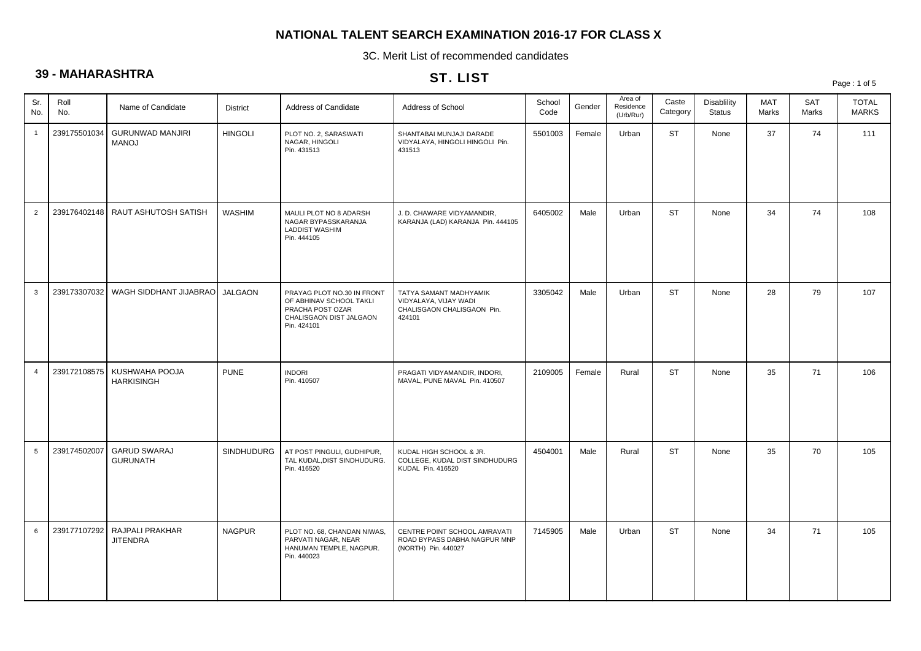3C. Merit List of recommended candidates

# **39 - MAHARASHTRA**

### ST. LIST

| vv.             |              |                                                   |                 |                                                                                                                     | $31.$ LIST                                                                              |                |        |                                   |                   |                                     |              |              | Page: 1 of 5                 |
|-----------------|--------------|---------------------------------------------------|-----------------|---------------------------------------------------------------------------------------------------------------------|-----------------------------------------------------------------------------------------|----------------|--------|-----------------------------------|-------------------|-------------------------------------|--------------|--------------|------------------------------|
| Sr.<br>No.      | Roll<br>No.  | Name of Candidate                                 | <b>District</b> | Address of Candidate                                                                                                | Address of School                                                                       | School<br>Code | Gender | Area of<br>Residence<br>(Urb/Rur) | Caste<br>Category | <b>Disablility</b><br><b>Status</b> | MAT<br>Marks | SAT<br>Marks | <b>TOTAL</b><br><b>MARKS</b> |
| $\overline{1}$  | 239175501034 | <b>GURUNWAD MANJIRI</b><br><b>MANOJ</b>           | <b>HINGOLI</b>  | PLOT NO. 2, SARASWATI<br>NAGAR, HINGOLI<br>Pin. 431513                                                              | SHANTABAI MUNJAJI DARADE<br>VIDYALAYA, HINGOLI HINGOLI Pin.<br>431513                   | 5501003        | Female | Urban                             | <b>ST</b>         | None                                | 37           | 74           | 111                          |
| 2               |              | 239176402148   RAUT ASHUTOSH SATISH               | WASHIM          | MAULI PLOT NO 8 ADARSH<br>NAGAR BYPASSKARANJA<br><b>LADDIST WASHIM</b><br>Pin. 444105                               | J. D. CHAWARE VIDYAMANDIR,<br>KARANJA (LAD) KARANJA Pin. 444105                         | 6405002        | Male   | Urban                             | <b>ST</b>         | None                                | 34           | 74           | 108                          |
| $\mathbf{3}$    |              | 239173307032   WAGH SIDDHANT JIJABRAO             | JALGAON         | PRAYAG PLOT NO.30 IN FRONT<br>OF ABHINAV SCHOOL TAKLI<br>PRACHA POST OZAR<br>CHALISGAON DIST JALGAON<br>Pin. 424101 | TATYA SAMANT MADHYAMIK<br>VIDYALAYA, VIJAY WADI<br>CHALISGAON CHALISGAON Pin.<br>424101 | 3305042        | Male   | Urban                             | <b>ST</b>         | None                                | 28           | 79           | 107                          |
| $\overline{4}$  | 239172108575 | KUSHWAHA POOJA<br><b>HARKISINGH</b>               | PUNE            | <b>INDORI</b><br>Pin. 410507                                                                                        | PRAGATI VIDYAMANDIR, INDORI,<br>MAVAL, PUNE MAVAL Pin. 410507                           | 2109005        | Female | Rural                             | <b>ST</b>         | None                                | 35           | 71           | 106                          |
| $5\overline{5}$ | 239174502007 | <b>GARUD SWARAJ</b><br><b>GURUNATH</b>            | SINDHUDURG      | AT POST PINGULI, GUDHIPUR,<br>TAL KUDAL, DIST SINDHUDURG.<br>Pin. 416520                                            | KUDAL HIGH SCHOOL & JR.<br>COLLEGE, KUDAL DIST SINDHUDURG<br>KUDAL Pin. 416520          | 4504001        | Male   | Rural                             | <b>ST</b>         | None                                | 35           | 70           | 105                          |
| 6               |              | 239177107292   RAJPALI PRAKHAR<br><b>JITENDRA</b> | <b>NAGPUR</b>   | PLOT NO. 68, CHANDAN NIWAS,<br>PARVATI NAGAR, NEAR<br>HANUMAN TEMPLE, NAGPUR.<br>Pin. 440023                        | CENTRE POINT SCHOOL AMRAVATI<br>ROAD BYPASS DABHA NAGPUR MNP<br>(NORTH) Pin. 440027     | 7145905        | Male   | Urban                             | <b>ST</b>         | None                                | 34           | 71           | 105                          |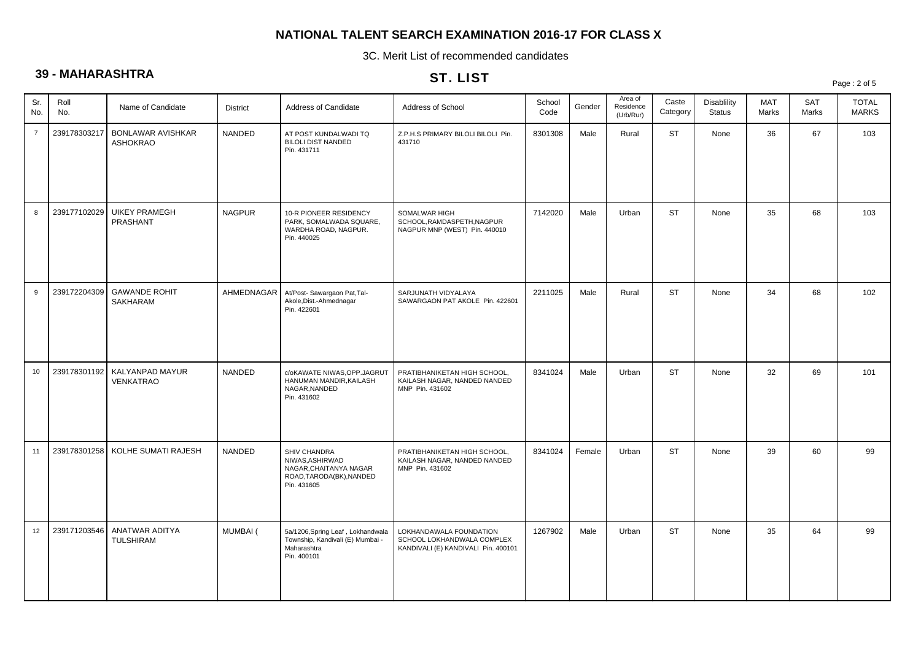3C. Merit List of recommended candidates

# **39 - MAHARASHTRA**

# ST. LIST

Page : 2 of 5

| Sr.<br>No.     | Roll<br>No.  | Name of Candidate                           | District      | Address of Candidate                                                                                 | Address of School                                                                            | School<br>Code | Gender | Area of<br>Residence<br>(Urb/Rur) | Caste<br>Category | <b>Disablility</b><br><b>Status</b> | <b>MAT</b><br>Marks | <b>SAT</b><br>Marks | <b>TOTAL</b><br><b>MARKS</b> |
|----------------|--------------|---------------------------------------------|---------------|------------------------------------------------------------------------------------------------------|----------------------------------------------------------------------------------------------|----------------|--------|-----------------------------------|-------------------|-------------------------------------|---------------------|---------------------|------------------------------|
| $\overline{7}$ | 239178303217 | <b>BONLAWAR AVISHKAR</b><br><b>ASHOKRAO</b> | NANDED        | AT POST KUNDALWADI TQ<br><b>BILOLI DIST NANDED</b><br>Pin. 431711                                    | Z.P.H.S PRIMARY BILOLI BILOLI Pin.<br>431710                                                 | 8301308        | Male   | Rural                             | <b>ST</b>         | None                                | 36                  | 67                  | 103                          |
| 8              | 239177102029 | <b>UIKEY PRAMEGH</b><br>PRASHANT            | <b>NAGPUR</b> | 10-R PIONEER RESIDENCY<br>PARK, SOMALWADA SQUARE,<br>WARDHA ROAD, NAGPUR.<br>Pin. 440025             | SOMALWAR HIGH<br>SCHOOL, RAMDASPETH, NAGPUR<br>NAGPUR MNP (WEST) Pin. 440010                 | 7142020        | Male   | Urban                             | <b>ST</b>         | None                                | 35                  | 68                  | 103                          |
| 9              | 239172204309 | <b>GAWANDE ROHIT</b><br><b>SAKHARAM</b>     | AHMEDNAGAR    | At/Post- Sawargaon Pat, Tal-<br>Akole, Dist.-Ahmednagar<br>Pin. 422601                               | SARJUNATH VIDYALAYA<br>SAWARGAON PAT AKOLE Pin. 422601                                       | 2211025        | Male   | Rural                             | <b>ST</b>         | None                                | 34                  | 68                  | 102                          |
| 10             | 239178301192 | KALYANPAD MAYUR<br>VENKATRAO                | NANDED        | c/oKAWATE NIWAS, OPP. JAGRUT<br>HANUMAN MANDIR, KAILASH<br>NAGAR, NANDED<br>Pin. 431602              | PRATIBHANIKETAN HIGH SCHOOL,<br>KAILASH NAGAR, NANDED NANDED<br>MNP Pin. 431602              | 8341024        | Male   | Urban                             | <b>ST</b>         | None                                | 32                  | 69                  | 101                          |
| 11             | 239178301258 | KOLHE SUMATI RAJESH                         | <b>NANDED</b> | SHIV CHANDRA<br>NIWAS, ASHIRWAD<br>NAGAR, CHAITANYA NAGAR<br>ROAD, TARODA(BK), NANDED<br>Pin. 431605 | PRATIBHANIKETAN HIGH SCHOOL,<br>KAILASH NAGAR, NANDED NANDED<br>MNP Pin. 431602              | 8341024        | Female | Urban                             | <b>ST</b>         | None                                | 39                  | 60                  | 99                           |
| 12             | 239171203546 | ANATWAR ADITYA<br><b>TULSHIRAM</b>          | MUMBAI (      | 5a/1206, Spring Leaf, Lokhandwala<br>Township, Kandivali (E) Mumbai -<br>Maharashtra<br>Pin. 400101  | LOKHANDAWALA FOUNDATION<br>SCHOOL LOKHANDWALA COMPLEX<br>KANDIVALI (E) KANDIVALI Pin. 400101 | 1267902        | Male   | Urban                             | <b>ST</b>         | None                                | 35                  | 64                  | 99                           |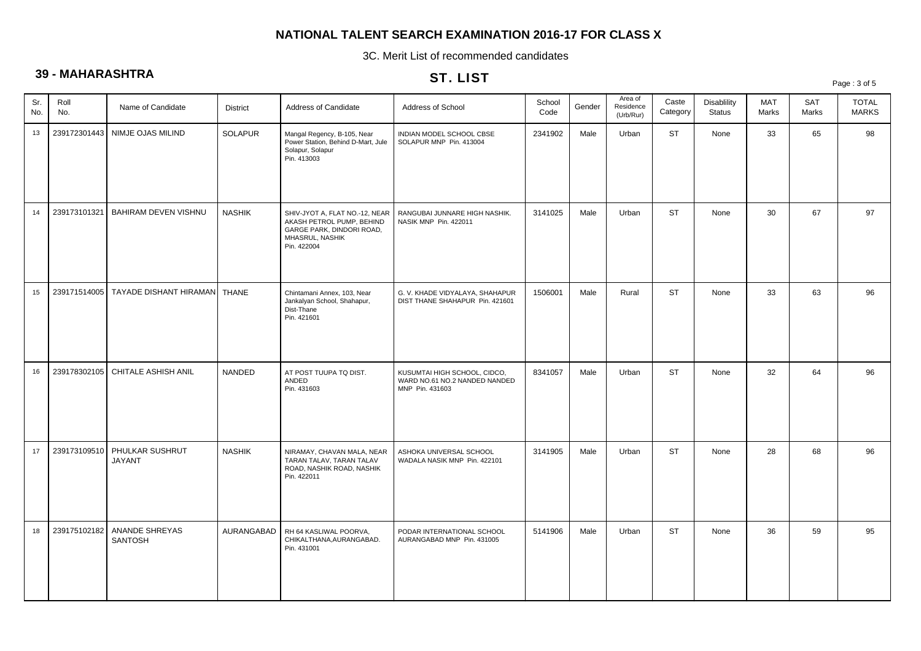3C. Merit List of recommended candidates

# **39 - MAHARASHTRA**

### ST. LIST

|            | $\frac{1}{2}$ |                                  |                 | <b>SI.LISI</b>                                                                                                             |                                                                                  |                |        |                                   |                   | Page: 3 of 5                 |              |              |                              |  |
|------------|---------------|----------------------------------|-----------------|----------------------------------------------------------------------------------------------------------------------------|----------------------------------------------------------------------------------|----------------|--------|-----------------------------------|-------------------|------------------------------|--------------|--------------|------------------------------|--|
| Sr.<br>No. | Roll<br>No.   | Name of Candidate                | <b>District</b> | Address of Candidate                                                                                                       | Address of School                                                                | School<br>Code | Gender | Area of<br>Residence<br>(Urb/Rur) | Caste<br>Category | <b>Disablility</b><br>Status | MAT<br>Marks | SAT<br>Marks | <b>TOTAL</b><br><b>MARKS</b> |  |
| 13         | 239172301443  | NIMJE OJAS MILIND                | <b>SOLAPUR</b>  | Mangal Regency, B-105, Near<br>Power Station, Behind D-Mart, Jule<br>Solapur, Solapur<br>Pin. 413003                       | INDIAN MODEL SCHOOL CBSE<br>SOLAPUR MNP Pin. 413004                              | 2341902        | Male   | Urban                             | <b>ST</b>         | None                         | 33           | 65           | 98                           |  |
| 14         | 239173101321  | BAHIRAM DEVEN VISHNU             | <b>NASHIK</b>   | SHIV-JYOT A, FLAT NO.-12, NEAR<br>AKASH PETROL PUMP, BEHIND<br>GARGE PARK, DINDORI ROAD,<br>MHASRUL, NASHIK<br>Pin. 422004 | RANGUBAI JUNNARE HIGH NASHIK.<br>NASIK MNP Pin. 422011                           | 3141025        | Male   | Urban                             | <b>ST</b>         | None                         | 30           | 67           | 97                           |  |
| 15         | 239171514005  | TAYADE DISHANT HIRAMAN   THANE   |                 | Chintamani Annex, 103, Near<br>Jankalyan School, Shahapur,<br>Dist-Thane<br>Pin. 421601                                    | G. V. KHADE VIDYALAYA, SHAHAPUR<br>DIST THANE SHAHAPUR Pin. 421601               | 1506001        | Male   | Rural                             | <b>ST</b>         | None                         | 33           | 63           | 96                           |  |
| 16         | 239178302105  | <b>CHITALE ASHISH ANIL</b>       | NANDED          | AT POST TUUPA TO DIST.<br>ANDED<br>Pin. 431603                                                                             | KUSUMTAI HIGH SCHOOL, CIDCO,<br>WARD NO.61 NO.2 NANDED NANDED<br>MNP Pin. 431603 | 8341057        | Male   | Urban                             | <b>ST</b>         | None                         | 32           | 64           | 96                           |  |
| 17         | 239173109510  | PHULKAR SUSHRUT<br>JAYANT        | <b>NASHIK</b>   | NIRAMAY, CHAVAN MALA, NEAR<br>TARAN TALAV, TARAN TALAV<br>ROAD, NASHIK ROAD, NASHIK<br>Pin. 422011                         | ASHOKA UNIVERSAL SCHOOL<br>WADALA NASIK MNP Pin. 422101                          | 3141905        | Male   | Urban                             | <b>ST</b>         | None                         | 28           | 68           | 96                           |  |
| 18         | 239175102182  | ANANDE SHREYAS<br><b>SANTOSH</b> | AURANGABAD      | RH 64 KASLIWAL POORVA,<br>CHIKALTHANA, AURANGABAD.<br>Pin. 431001                                                          | PODAR INTERNATIONAL SCHOOL<br>AURANGABAD MNP Pin. 431005                         | 5141906        | Male   | Urban                             | <b>ST</b>         | None                         | 36           | 59           | 95                           |  |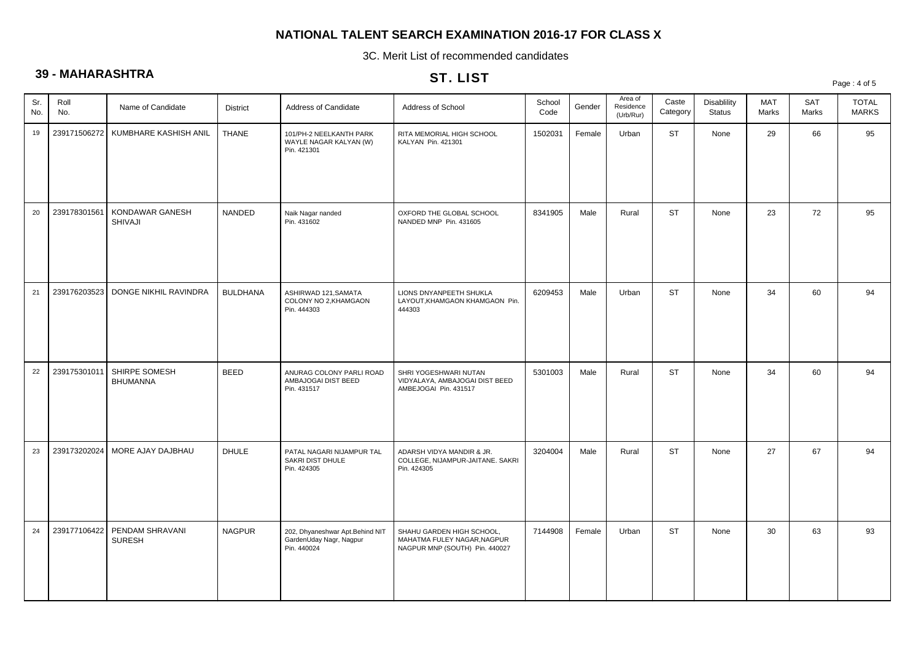3C. Merit List of recommended candidates

# **39 - MAHARASHTRA**

### ST. LIST

|            |              |                                  |                 |                                                                           | 31. LIST                                                                                   |                |        |                                   |                   |                              |                     |                     | Page: 4 of 5                 |
|------------|--------------|----------------------------------|-----------------|---------------------------------------------------------------------------|--------------------------------------------------------------------------------------------|----------------|--------|-----------------------------------|-------------------|------------------------------|---------------------|---------------------|------------------------------|
| Sr.<br>No. | Roll<br>No.  | Name of Candidate                | <b>District</b> | Address of Candidate                                                      | Address of School                                                                          | School<br>Code | Gender | Area of<br>Residence<br>(Urb/Rur) | Caste<br>Category | Disablility<br><b>Status</b> | <b>MAT</b><br>Marks | <b>SAT</b><br>Marks | <b>TOTAL</b><br><b>MARKS</b> |
| 19         | 239171506272 | KUMBHARE KASHISH ANIL            | <b>THANE</b>    | 101/PH-2 NEELKANTH PARK<br>WAYLE NAGAR KALYAN (W)<br>Pin. 421301          | RITA MEMORIAL HIGH SCHOOL<br>KALYAN Pin. 421301                                            | 1502031        | Female | Urban                             | <b>ST</b>         | None                         | 29                  | 66                  | 95                           |
| 20         | 239178301561 | KONDAWAR GANESH<br>SHIVAJI       | <b>NANDED</b>   | Naik Nagar nanded<br>Pin. 431602                                          | OXFORD THE GLOBAL SCHOOL<br>NANDED MNP Pin. 431605                                         | 8341905        | Male   | Rural                             | <b>ST</b>         | None                         | 23                  | 72                  | 95                           |
| 21         | 239176203523 | DONGE NIKHIL RAVINDRA            | <b>BULDHANA</b> | ASHIRWAD 121, SAMATA<br>COLONY NO 2, KHAMGAON<br>Pin. 444303              | LIONS DNYANPEETH SHUKLA<br>LAYOUT, KHAMGAON KHAMGAON Pin.<br>444303                        | 6209453        | Male   | Urban                             | <b>ST</b>         | None                         | 34                  | 60                  | 94                           |
| 22         | 239175301011 | SHIRPE SOMESH<br><b>BHUMANNA</b> | <b>BEED</b>     | ANURAG COLONY PARLI ROAD<br>AMBAJOGAI DIST BEED<br>Pin. 431517            | SHRI YOGESHWARI NUTAN<br>VIDYALAYA, AMBAJOGAI DIST BEED<br>AMBEJOGAI Pin. 431517           | 5301003        | Male   | Rural                             | <b>ST</b>         | None                         | 34                  | 60                  | 94                           |
| 23         | 239173202024 | MORE AJAY DAJBHAU                | <b>DHULE</b>    | PATAL NAGARI NIJAMPUR TAL<br>SAKRI DIST DHULE<br>Pin. 424305              | ADARSH VIDYA MANDIR & JR.<br>COLLEGE, NIJAMPUR-JAITANE. SAKRI<br>Pin. 424305               | 3204004        | Male   | Rural                             | <b>ST</b>         | None                         | 27                  | 67                  | 94                           |
| 24         | 239177106422 | PENDAM SHRAVANI<br><b>SURESH</b> | <b>NAGPUR</b>   | 202, Dhyaneshwar Apt.Behind NIT<br>GardenUday Nagr, Nagpur<br>Pin. 440024 | SHAHU GARDEN HIGH SCHOOL,<br>MAHATMA FULEY NAGAR, NAGPUR<br>NAGPUR MNP (SOUTH) Pin. 440027 | 7144908        | Female | Urban                             | <b>ST</b>         | None                         | 30                  | 63                  | 93                           |